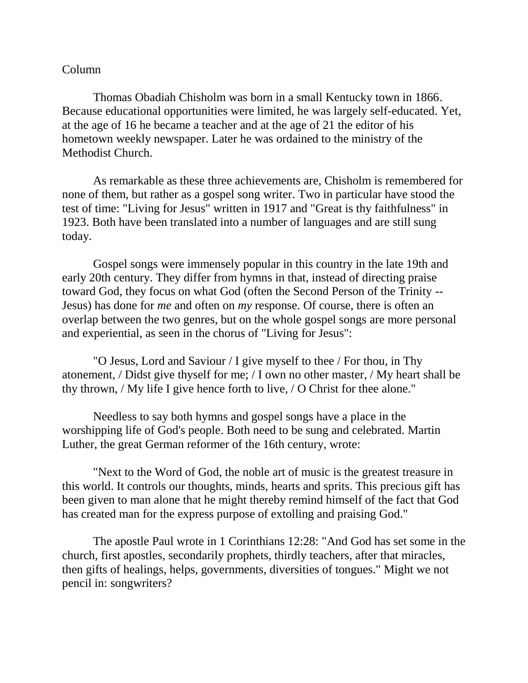## Column

Thomas Obadiah Chisholm was born in a small Kentucky town in 1866. Because educational opportunities were limited, he was largely self-educated. Yet, at the age of 16 he became a teacher and at the age of 21 the editor of his hometown weekly newspaper. Later he was ordained to the ministry of the Methodist Church.

As remarkable as these three achievements are, Chisholm is remembered for none of them, but rather as a gospel song writer. Two in particular have stood the test of time: "Living for Jesus" written in 1917 and "Great is thy faithfulness" in 1923. Both have been translated into a number of languages and are still sung today.

Gospel songs were immensely popular in this country in the late 19th and early 20th century. They differ from hymns in that, instead of directing praise toward God, they focus on what God (often the Second Person of the Trinity -- Jesus) has done for *me* and often on *my* response. Of course, there is often an overlap between the two genres, but on the whole gospel songs are more personal and experiential, as seen in the chorus of "Living for Jesus":

"O Jesus, Lord and Saviour / I give myself to thee / For thou, in Thy atonement, / Didst give thyself for me; / I own no other master, / My heart shall be thy thrown, / My life I give hence forth to live, / O Christ for thee alone."

Needless to say both hymns and gospel songs have a place in the worshipping life of God's people. Both need to be sung and celebrated. Martin Luther, the great German reformer of the 16th century, wrote:

"Next to the Word of God, the noble art of music is the greatest treasure in this world. It controls our thoughts, minds, hearts and sprits. This precious gift has been given to man alone that he might thereby remind himself of the fact that God has created man for the express purpose of extolling and praising God."

The apostle Paul wrote in 1 Corinthians 12:28: "And God has set some in the church, first apostles, secondarily prophets, thirdly teachers, after that miracles, then gifts of healings, helps, governments, diversities of tongues." Might we not pencil in: songwriters?